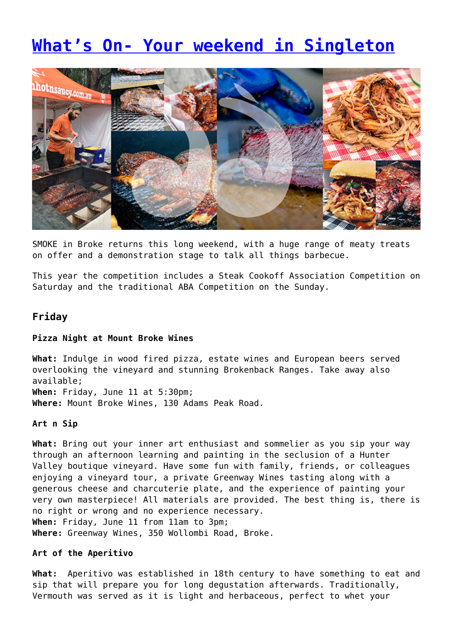# **[What's On- Your weekend in Singleton](https://www.singleton.net.au/whats-on-in-singleton-3/)**



SMOKE in Broke returns this long weekend, with a huge range of meaty treats on offer and a demonstration stage to talk all things barbecue.

This year the competition includes a Steak Cookoff Association Competition on Saturday and the traditional ABA Competition on the Sunday.

# **Friday**

#### **Pizza Night at Mount Broke Wines**

**What:** Indulge in wood fired pizza, estate wines and European beers served overlooking the vineyard and stunning Brokenback Ranges. Take away also available; **When:** Friday, June 11 at 5:30pm; **Where:** Mount Broke Wines, 130 Adams Peak Road.

## **Art n Sip**

**What:** Bring out your inner art enthusiast and sommelier as you sip your way through an afternoon learning and painting in the seclusion of a Hunter Valley boutique vineyard. Have some fun with family, friends, or colleagues enjoying a vineyard tour, a private Greenway Wines tasting along with a generous cheese and charcuterie plate, and the experience of painting your very own masterpiece! All materials are provided. The best thing is, there is no right or wrong and no experience necessary. **When:** Friday, June 11 from 11am to 3pm; **Where:** Greenway Wines, 350 Wollombi Road, Broke.

#### **Art of the Aperitivo**

**What:** Aperitivo was established in 18th century to have something to eat and sip that will prepare you for long degustation afterwards. Traditionally, Vermouth was served as it is light and herbaceous, perfect to whet your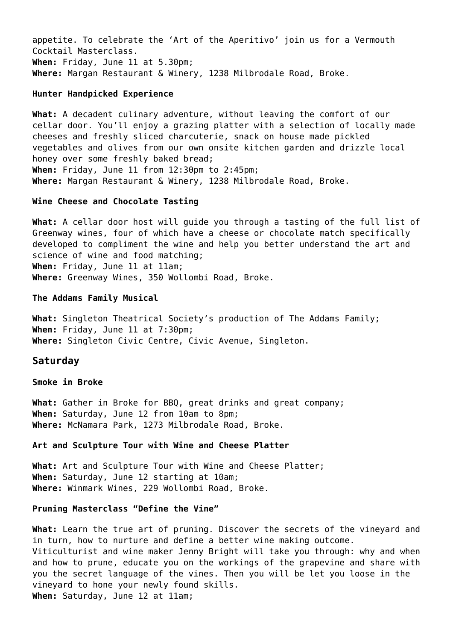appetite. To celebrate the 'Art of the Aperitivo' join us for a Vermouth Cocktail Masterclass. **When:** Friday, June 11 at 5.30pm; **Where:** Margan Restaurant & Winery, 1238 Milbrodale Road, Broke.

#### **Hunter Handpicked Experience**

**What:** A decadent culinary adventure, without leaving the comfort of our cellar door. You'll enjoy a grazing platter with a selection of locally made cheeses and freshly sliced charcuterie, snack on house made pickled vegetables and olives from our own onsite kitchen garden and drizzle local honey over some freshly baked bread; **When:** Friday, June 11 from 12:30pm to 2:45pm; **Where:** Margan Restaurant & Winery, 1238 Milbrodale Road, Broke.

#### **Wine Cheese and Chocolate Tasting**

**What:** A cellar door host will guide you through a tasting of the full list of Greenway wines, four of which have a cheese or chocolate match specifically developed to compliment the wine and help you better understand the art and science of wine and food matching; **When:** Friday, June 11 at 11am; **Where:** Greenway Wines, 350 Wollombi Road, Broke.

## **The Addams Family Musical**

**What:** Singleton Theatrical Society's production of The Addams Family; **When:** Friday, June 11 at 7:30pm; **Where:** Singleton Civic Centre, Civic Avenue, Singleton.

#### **Saturday**

**Smoke in Broke**

**What:** Gather in Broke for BBQ, great drinks and great company; **When:** Saturday, June 12 from 10am to 8pm; **Where:** McNamara Park, 1273 Milbrodale Road, Broke.

## **Art and Sculpture Tour with Wine and Cheese Platter**

**What:** Art and Sculpture Tour with Wine and Cheese Platter; **When:** Saturday, June 12 starting at 10am; **Where:** Winmark Wines, 229 Wollombi Road, Broke.

#### **Pruning Masterclass "Define the Vine"**

**What:** Learn the true art of pruning. Discover the secrets of the vineyard and in turn, how to nurture and define a better wine making outcome. Viticulturist and wine maker Jenny Bright will take you through: why and when and how to prune, educate you on the workings of the grapevine and share with you the secret language of the vines. Then you will be let you loose in the vineyard to hone your newly found skills. **When:** Saturday, June 12 at 11am;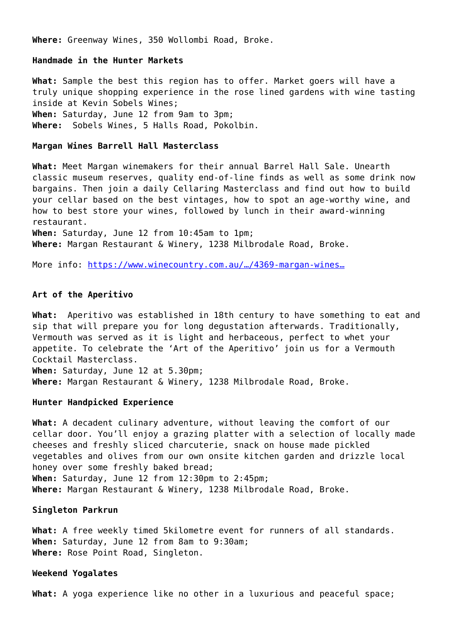**Where:** Greenway Wines, 350 Wollombi Road, Broke.

#### **Handmade in the Hunter Markets**

**What:** Sample the best this region has to offer. Market goers will have a truly unique shopping experience in the rose lined gardens with wine tasting inside at Kevin Sobels Wines; **When:** Saturday, June 12 from 9am to 3pm; **Where:** Sobels Wines, 5 Halls Road, Pokolbin.

### **Margan Wines Barrell Hall Masterclass**

**What:** Meet Margan winemakers for their annual Barrel Hall Sale. Unearth classic museum reserves, quality end-of-line finds as well as some drink now bargains. Then join a daily Cellaring Masterclass and find out how to build your cellar based on the best vintages, how to spot an age-worthy wine, and how to best store your wines, followed by lunch in their award-winning restaurant. **When:** Saturday, June 12 from 10:45am to 1pm; **Where:** Margan Restaurant & Winery, 1238 Milbrodale Road, Broke.

More info: [https://www.winecountry.com.au/…/4369-margan-wines…](https://www.winecountry.com.au/events/wine-and-food-festival/event/4369-margan-wines-barrell-hall-masterclass?fbclid=IwAR3THvN5GDDcLRbL2Yqvka-pjsoBq8j0lUTTfWiMXerngSnByqAidP4ypOQ)

#### **Art of the Aperitivo**

**What:** Aperitivo was established in 18th century to have something to eat and sip that will prepare you for long degustation afterwards. Traditionally, Vermouth was served as it is light and herbaceous, perfect to whet your appetite. To celebrate the 'Art of the Aperitivo' join us for a Vermouth Cocktail Masterclass.

**When:** Saturday, June 12 at 5.30pm; **Where:** Margan Restaurant & Winery, 1238 Milbrodale Road, Broke.

#### **Hunter Handpicked Experience**

**What:** A decadent culinary adventure, without leaving the comfort of our cellar door. You'll enjoy a grazing platter with a selection of locally made cheeses and freshly sliced charcuterie, snack on house made pickled vegetables and olives from our own onsite kitchen garden and drizzle local honey over some freshly baked bread; **When:** Saturday, June 12 from 12:30pm to 2:45pm; **Where:** Margan Restaurant & Winery, 1238 Milbrodale Road, Broke.

#### **Singleton Parkrun**

**What:** A free weekly timed 5kilometre event for runners of all standards. **When:** Saturday, June 12 from 8am to 9:30am; **Where:** Rose Point Road, Singleton.

#### **Weekend Yogalates**

**What:** A yoga experience like no other in a luxurious and peaceful space;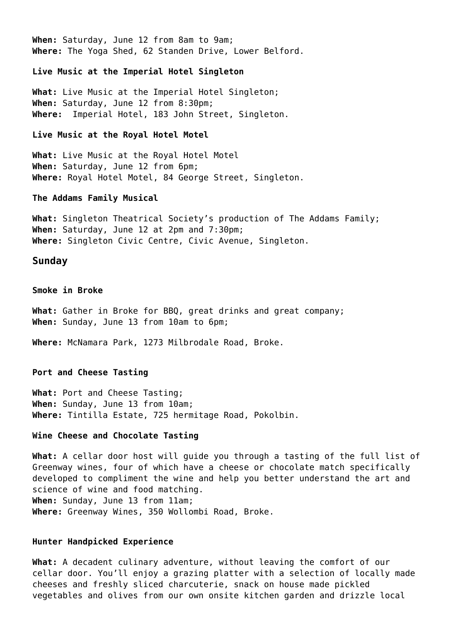**When:** Saturday, June 12 from 8am to 9am; **Where:** The Yoga Shed, 62 Standen Drive, Lower Belford.

**Live Music at the Imperial Hotel Singleton**

**What:** Live Music at the Imperial Hotel Singleton; **When:** Saturday, June 12 from 8:30pm; **Where:** Imperial Hotel, 183 John Street, Singleton.

#### **Live Music at the Royal Hotel Motel**

**What:** Live Music at the Royal Hotel Motel **When:** Saturday, June 12 from 6pm; **Where:** Royal Hotel Motel, 84 George Street, Singleton.

#### **The Addams Family Musical**

**What:** Singleton Theatrical Society's production of The Addams Family; **When:** Saturday, June 12 at 2pm and 7:30pm; **Where:** Singleton Civic Centre, Civic Avenue, Singleton.

#### **Sunday**

**Smoke in Broke**

**What:** Gather in Broke for BBQ, great drinks and great company; **When:** Sunday, June 13 from 10am to 6pm;

**Where:** McNamara Park, 1273 Milbrodale Road, Broke.

#### **Port and Cheese Tasting**

**What:** Port and Cheese Tasting; **When:** Sunday, June 13 from 10am; **Where:** Tintilla Estate, 725 hermitage Road, Pokolbin.

#### **Wine Cheese and Chocolate Tasting**

**What:** A cellar door host will guide you through a tasting of the full list of Greenway wines, four of which have a cheese or chocolate match specifically developed to compliment the wine and help you better understand the art and science of wine and food matching. **When:** Sunday, June 13 from 11am; **Where:** Greenway Wines, 350 Wollombi Road, Broke.

#### **Hunter Handpicked Experience**

**What:** A decadent culinary adventure, without leaving the comfort of our cellar door. You'll enjoy a grazing platter with a selection of locally made cheeses and freshly sliced charcuterie, snack on house made pickled vegetables and olives from our own onsite kitchen garden and drizzle local